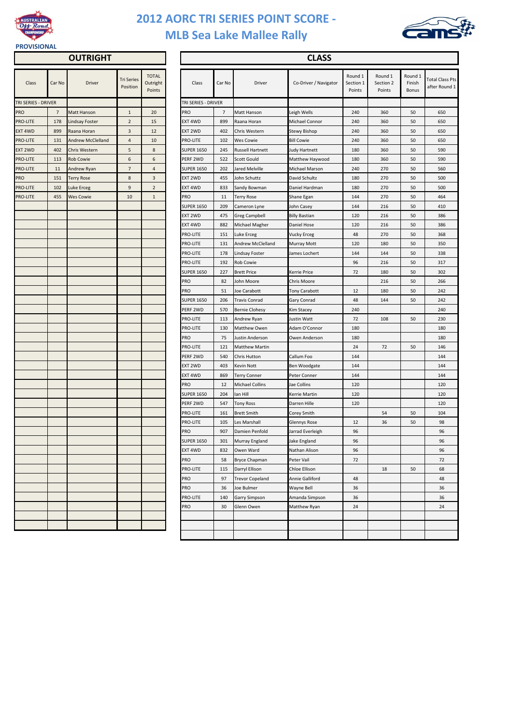

## **2012 AORC TRI SERIES POINT SCORE - MLB Sea Lake Mallee Rally**



## **PROVISIONAL**

|  | <b>OUTRIGHT</b> |
|--|-----------------|
|  |                 |

| Class               | Car No         | <b>Driver</b>            | <b>Tri Series</b><br>Position | <b>TOTAL</b><br>Outright<br>Points | Class               | Car No |
|---------------------|----------------|--------------------------|-------------------------------|------------------------------------|---------------------|--------|
| TRI SERIES - DRIVER |                |                          |                               |                                    | TRI SERIES - DRIVER |        |
| PRO                 | $\overline{7}$ | Matt Hanson              | $\mathbf{1}$                  | 20                                 | PRO                 | 7      |
| PRO-LITE            | 178            | <b>Lindsay Foster</b>    | $\overline{2}$                | 15                                 | EXT 4WD             | 899    |
| EXT 4WD             | 899            | Raana Horan              | 3                             | 12                                 | EXT 2WD             | 402    |
| PRO-LITE            | 131            | <b>Andrew McClelland</b> | 4                             | 10                                 | PRO-LITE            | 102    |
| EXT 2WD             | 402            | Chris Western            | 5                             | 8                                  | <b>SUPER 1650</b>   | 245    |
| PRO-LITE            | 113            | <b>Rob Cowie</b>         | 6                             | 6                                  | PERF 2WD            | 522    |
| PRO-LITE            | 11             | Andrew Ryan              | $\overline{7}$                | $\overline{4}$                     | <b>SUPER 1650</b>   | 202    |
| PRO                 | 151            | <b>Terry Rose</b>        | 8                             | 3                                  | EXT 2WD             | 455    |
| PRO-LITE            | 102            | Luke Erceg               | $\boldsymbol{9}$              | $\overline{2}$                     | EXT 4WD             | 833    |
| PRO-LITE            | 455            | <b>Wes Cowie</b>         | 10                            | $\mathbf{1}$                       | PRO                 | 11     |
|                     |                |                          |                               |                                    | <b>SUPER 1650</b>   | 209    |
|                     |                |                          |                               |                                    | EXT 2WD             | 475    |
|                     |                |                          |                               |                                    | EXT 4WD             | 882    |
|                     |                |                          |                               |                                    | <b>PRO-LITE</b>     | 151    |
|                     |                |                          |                               |                                    | PRO-LITE            | 131    |
|                     |                |                          |                               |                                    | PRO-LITE            | 178    |
|                     |                |                          |                               |                                    | PRO-LITE            | 192    |
|                     |                |                          |                               |                                    | <b>SUPER 1650</b>   | 227    |
|                     |                |                          |                               |                                    | PRO                 | 82     |
|                     |                |                          |                               |                                    | PRO                 | 51     |
|                     |                |                          |                               |                                    | <b>SUPER 1650</b>   | 206    |
|                     |                |                          |                               |                                    | PERF 2WD            | 570    |
|                     |                |                          |                               |                                    | PRO-LITE            | 113    |
|                     |                |                          |                               |                                    | PRO-LITE            | 130    |
|                     |                |                          |                               |                                    | PRO                 | 75     |
|                     |                |                          |                               |                                    | PRO-LITE            | 121    |
|                     |                |                          |                               |                                    | PERF 2WD            | 540    |
|                     |                |                          |                               |                                    | EXT 2WD             | 403    |
|                     |                |                          |                               |                                    | EXT 4WD             | 869    |
|                     |                |                          |                               |                                    | <b>PRO</b>          | 12     |
|                     |                |                          |                               |                                    | <b>SUPER 1650</b>   | 204    |
|                     |                |                          |                               |                                    | PERF 2WD            | 547    |
|                     |                |                          |                               |                                    | <b>PRO-LITE</b>     | 161    |
|                     |                |                          |                               |                                    | <b>PRO-LITE</b>     | 105    |
|                     |                |                          |                               |                                    | <b>PRO</b>          | 907    |
|                     |                |                          |                               |                                    | <b>SUPER 1650</b>   | 301    |
|                     |                |                          |                               |                                    | EXT 4WD             | 832    |
|                     |                |                          |                               |                                    | <b>PRO</b>          | 58     |
|                     |                |                          |                               |                                    | <b>PRO-LITE</b>     | 115    |
|                     |                |                          |                               |                                    | <b>PRO</b>          | 97     |
|                     |                |                          |                               |                                    | <b>PRO</b>          | 36     |
|                     |                |                          |                               |                                    | <b>PRO-LITE</b>     | 140    |
|                     |                |                          |                               |                                    | PRO                 | 30     |
|                     |                |                          |                               |                                    |                     |        |
|                     |                |                          |                               |                                    |                     |        |
|                     |                |                          |                               |                                    |                     |        |

| <b>OUTRIGHT</b>     |                |                          |                               |                                    |                   | <b>CLASS</b>        |        |                          |                       |                                |                                |                                   |                                         |  |  |
|---------------------|----------------|--------------------------|-------------------------------|------------------------------------|-------------------|---------------------|--------|--------------------------|-----------------------|--------------------------------|--------------------------------|-----------------------------------|-----------------------------------------|--|--|
| Class               | Car No         | <b>Driver</b>            | <b>Tri Series</b><br>Position | <b>TOTAL</b><br>Outright<br>Points |                   | Class               | Car No | Driver                   | Co-Driver / Navigator | Round 1<br>Section 1<br>Points | Round 1<br>Section 2<br>Points | Round 1<br>Finish<br><b>Bonus</b> | <b>Total Class Pts</b><br>after Round 1 |  |  |
| TRI SERIES - DRIVER |                |                          |                               |                                    |                   | TRI SERIES - DRIVER |        |                          |                       |                                |                                |                                   |                                         |  |  |
| PRO                 | $\overline{7}$ | <b>Matt Hanson</b>       | $\mathbf{1}$                  | 20                                 | <b>PRO</b>        |                     | 7      | <b>Matt Hanson</b>       | Leigh Wells           | 240                            | 360                            | 50                                | 650                                     |  |  |
| PRO-LITE            | 178            | <b>Lindsay Foster</b>    | $\overline{2}$                | 15                                 | EXT 4WD           |                     | 899    | Raana Horan              | Michael Connor        | 240                            | 360                            | 50                                | 650                                     |  |  |
| EXT 4WD             | 899            | Raana Horan              | $\overline{3}$                | 12                                 | EXT 2WD           |                     | 402    | Chris Western            | Stewy Bishop          | 240                            | 360                            | 50                                | 650                                     |  |  |
| PRO-LITE            | 131            | <b>Andrew McClelland</b> | 4                             | 10                                 | <b>PRO-LITE</b>   |                     | 102    | <b>Wes Cowie</b>         | <b>Bill Cowie</b>     | 240                            | 360                            | 50                                | 650                                     |  |  |
| EXT 2WD             | 402            | Chris Western            | 5                             | 8                                  | <b>SUPER 1650</b> |                     | 245    | <b>Russell Hartnett</b>  | Judy Hartnett         | 180                            | 360                            | 50                                | 590                                     |  |  |
| PRO-LITE            | 113            | <b>Rob Cowie</b>         | 6                             | 6                                  | PERF 2WD          |                     | 522    | <b>Scott Gould</b>       | Matthew Haywood       | 180                            | 360                            | 50                                | 590                                     |  |  |
| PRO-LITE            | 11             | Andrew Ryan              | $\overline{7}$                | 4                                  | <b>SUPER 1650</b> |                     | 202    | <b>Jared Melville</b>    | Michael Marson        | 240                            | 270                            | 50                                | 560                                     |  |  |
| PRO                 | 151            | <b>Terry Rose</b>        | 8                             | 3                                  | EXT 2WD           |                     | 455    | John Schuttz             | David Schultz         | 180                            | 270                            | 50                                | 500                                     |  |  |
| PRO-LITE            | 102            | Luke Erceg               | 9                             | $\overline{2}$                     | EXT 4WD           |                     | 833    | Sandy Bowman             | Daniel Hardman        | 180                            | 270                            | 50                                | 500                                     |  |  |
| PRO-LITE            | 455            | <b>Wes Cowie</b>         | 10                            | $\mathbf{1}$                       | <b>PRO</b>        |                     | 11     | <b>Terry Rose</b>        | Shane Egan            | 144                            | 270                            | 50                                | 464                                     |  |  |
|                     |                |                          |                               |                                    | <b>SUPER 1650</b> |                     | 209    | Cameron Lyne             | John Casey            | 144                            | 216                            | 50                                | 410                                     |  |  |
|                     |                |                          |                               |                                    | EXT 2WD           |                     | 475    | <b>Greg Campbell</b>     | <b>Billy Bastian</b>  | 120                            | 216                            | 50                                | 386                                     |  |  |
|                     |                |                          |                               |                                    | EXT 4WD           |                     | 882    | Michael Magher           | Daniel Hose           | 120                            | 216                            | 50                                | 386                                     |  |  |
|                     |                |                          |                               |                                    | <b>PRO-LITE</b>   |                     | 151    | Luke Erceg               | <b>Vucky Erceg</b>    | 48                             | 270                            | 50                                | 368                                     |  |  |
|                     |                |                          |                               |                                    | <b>PRO-LITE</b>   |                     | 131    | <b>Andrew McClelland</b> | Murray Mott           | 120                            | 180                            | 50                                | 350                                     |  |  |
|                     |                |                          |                               |                                    | <b>PRO-LITE</b>   |                     | 178    | <b>Lindsay Foster</b>    | James Lochert         | 144                            | 144                            | 50                                | 338                                     |  |  |
|                     |                |                          |                               |                                    | <b>PRO-LITE</b>   |                     | 192    | <b>Rob Cowie</b>         |                       | 96                             | 216                            | 50                                | 317                                     |  |  |
|                     |                |                          |                               |                                    | <b>SUPER 1650</b> |                     | 227    | <b>Brett Price</b>       | <b>Kerrie Price</b>   | 72                             | 180                            | 50                                | 302                                     |  |  |
|                     |                |                          |                               |                                    | <b>PRO</b>        |                     | 82     | John Moore               | Chris Moore           |                                | 216                            | 50                                | 266                                     |  |  |
|                     |                |                          |                               |                                    | <b>PRO</b>        |                     | 51     | Joe Carabott             | <b>Tony Carabott</b>  | 12                             | 180                            | 50                                | 242                                     |  |  |
|                     |                |                          |                               |                                    | <b>SUPER 1650</b> |                     | 206    | <b>Travis Conrad</b>     | <b>Gary Conrad</b>    | 48                             | 144                            | 50                                | 242                                     |  |  |
|                     |                |                          |                               |                                    | PERF 2WD          |                     | 570    | <b>Bernie Clohesy</b>    | Kim Stacey            | 240                            |                                |                                   | 240                                     |  |  |
|                     |                |                          |                               |                                    | <b>PRO-LITE</b>   |                     | 113    | Andrew Ryan              | Justin Watt           | 72                             | 108                            | 50                                | 230                                     |  |  |
|                     |                |                          |                               |                                    | <b>PRO-LITE</b>   |                     | 130    | <b>Matthew Owen</b>      | Adam O'Connor         | 180                            |                                |                                   | 180                                     |  |  |
|                     |                |                          |                               |                                    | <b>PRO</b>        |                     | 75     | Justin Anderson          | Owen Anderson         | 180                            |                                |                                   | 180                                     |  |  |
|                     |                |                          |                               |                                    | PRO-LITE          |                     | 121    | <b>Matthew Martin</b>    |                       | 24                             | 72                             | 50                                | 146                                     |  |  |
|                     |                |                          |                               |                                    | PERF 2WD          |                     | 540    | Chris Hutton             | Callum Foo            | 144                            |                                |                                   | 144                                     |  |  |
|                     |                |                          |                               |                                    | EXT 2WD           |                     | 403    | Kevin Nott               | Ben Woodgate          | 144                            |                                |                                   | 144                                     |  |  |
|                     |                |                          |                               |                                    | EXT 4WD           |                     | 869    | <b>Terry Conner</b>      | Peter Conner          | 144                            |                                |                                   | 144                                     |  |  |
|                     |                |                          |                               |                                    | <b>PRO</b>        |                     | 12     | <b>Michael Collins</b>   | Jae Collins           | 120                            |                                |                                   | 120                                     |  |  |
|                     |                |                          |                               |                                    | <b>SUPER 1650</b> |                     | 204    | lan Hill                 | Gerrie Martin         | 120                            |                                |                                   | 120                                     |  |  |
|                     |                |                          |                               |                                    | PERF 2WD          |                     | 547    | <b>Tony Ross</b>         | Darren Hille          | 120                            |                                |                                   | 120                                     |  |  |
|                     |                |                          |                               |                                    | PRO-LITE          |                     | 161    | <b>Brett Smith</b>       | Corey Smith           |                                | 54                             | 50                                | 104                                     |  |  |
|                     |                |                          |                               |                                    | PRO-LITE          |                     | 105    | Les Marshall             | <b>Glennys Rose</b>   | 12                             | 36                             | 50                                | 98                                      |  |  |
|                     |                |                          |                               |                                    | <b>PRO</b>        |                     | 907    | Damien Penfold           | Jarrad Everleigh      | 96                             |                                |                                   | 96                                      |  |  |
|                     |                |                          |                               |                                    | <b>SUPER 1650</b> |                     | 301    | Murray England           | Jake England          | 96                             |                                |                                   | 96                                      |  |  |
|                     |                |                          |                               |                                    | EXT 4WD           |                     | 832    | Owen Ward                | Nathan Alison         | 96                             |                                |                                   | 96                                      |  |  |
|                     |                |                          |                               |                                    | <b>PRO</b>        |                     | 58     | <b>Bryce Chapman</b>     | Peter Vail            | 72                             |                                |                                   | 72                                      |  |  |
|                     |                |                          |                               |                                    | PRO-LITE          |                     | 115    | Darryl Ellison           | Chloe Ellison         |                                | 18                             | 50                                | 68                                      |  |  |
|                     |                |                          |                               |                                    | <b>PRO</b>        |                     | 97     | <b>Trevor Copeland</b>   | Annie Galliford       | 48                             |                                |                                   | 48                                      |  |  |
|                     |                |                          |                               |                                    | <b>PRO</b>        |                     | 36     | Joe Bulmer               | Wayne Bell            | 36                             |                                |                                   | 36                                      |  |  |
|                     |                |                          |                               |                                    | PRO-LITE          |                     | 140    | <b>Garry Simpson</b>     | Amanda Simpson        | 36                             |                                |                                   | 36                                      |  |  |
|                     |                |                          |                               |                                    | <b>PRO</b>        |                     | 30     | Glenn Owen               | Matthew Ryan          | 24                             |                                |                                   | 24                                      |  |  |
|                     |                |                          |                               |                                    |                   |                     |        |                          |                       |                                |                                |                                   |                                         |  |  |
|                     |                |                          |                               |                                    |                   |                     |        |                          |                       |                                |                                |                                   |                                         |  |  |
|                     |                |                          |                               |                                    |                   |                     |        |                          |                       |                                |                                |                                   |                                         |  |  |